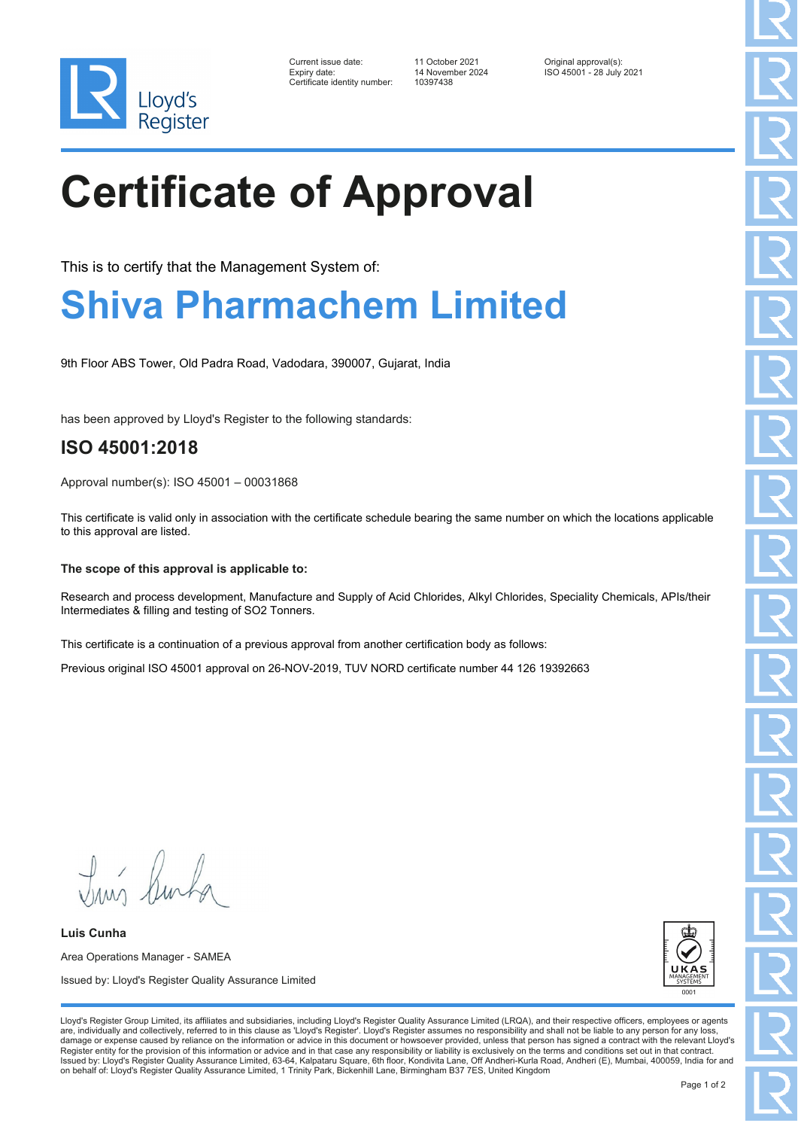

| Current issue date:          | 11 October 2021  | Original approval(s):    |
|------------------------------|------------------|--------------------------|
| Expiry date:                 | 14 November 2024 | ISO 45001 - 28 July 2021 |
| Certificate identity number: | 10397438         |                          |

# **Certificate of Approval**

This is to certify that the Management System of:

### **Shiva Pharmachem Limited**

9th Floor ABS Tower, Old Padra Road, Vadodara, 390007, Gujarat, India

has been approved by Lloyd's Register to the following standards:

### **ISO 45001:2018**

Approval number(s): ISO 45001 – 00031868

This certificate is valid only in association with the certificate schedule bearing the same number on which the locations applicable to this approval are listed.

#### **The scope of this approval is applicable to:**

Research and process development, Manufacture and Supply of Acid Chlorides, Alkyl Chlorides, Speciality Chemicals, APIs/their Intermediates & filling and testing of SO2 Tonners.

This certificate is a continuation of a previous approval from another certification body as follows:

Previous original ISO 45001 approval on 26-NOV-2019, TUV NORD certificate number 44 126 19392663

Truis Burka

**Luis Cunha** Area Operations Manager - SAMEA Issued by: Lloyd's Register Quality Assurance Limited



Lloyd's Register Group Limited, its affiliates and subsidiaries, including Lloyd's Register Quality Assurance Limited (LRQA), and their respective officers, employees or agents are, individually and collectively, referred to in this clause as 'Lloyd's Register'. Lloyd's Register assumes no responsibility and shall not be liable to any person for any los damage or expense caused by reliance on the information or advice in this document or howsoever provided, unless that person has signed a contract with the relevant Lloyd's<br>Register entity for the provision of this informa Issued by: Lloyd's Register Quality Assurance Limited, 63-64, Kalpataru Square, 6th floor, Kondivita Lane, Off Andheri-Kurla Road, Andheri (E), Mumbai, 400059, India for and on behalf of: Lloyd's Register Quality Assurance Limited, 1 Trinity Park, Bickenhill Lane, Birmingham B37 7ES, United Kingdom